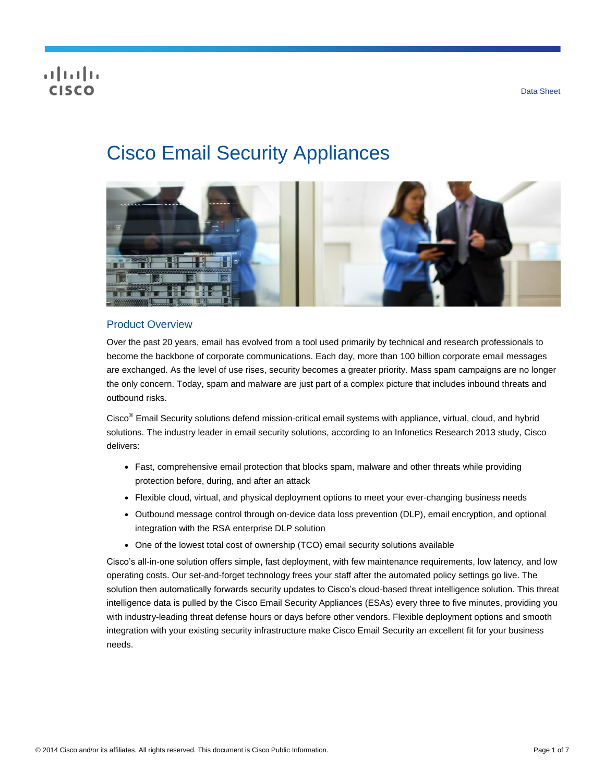# **CISCO**

# Cisco Email Security Appliances



# Product Overview

Over the past 20 years, email has evolved from a tool used primarily by technical and research professionals to become the backbone of corporate communications. Each day, more than 100 billion corporate email messages are exchanged. As the level of use rises, security becomes a greater priority. Mass spam campaigns are no longer the only concern. Today, spam and malware are just part of a complex picture that includes inbound threats and outbound risks.

Cisco® Email Security solutions defend mission-critical email systems with appliance, virtual, cloud, and hybrid solutions. The industry leader in email security solutions, according to an Infonetics Research 2013 study, Cisco delivers:

- Fast, comprehensive email protection that blocks spam, malware and other threats while providing protection before, during, and after an attack
- Flexible cloud, virtual, and physical deployment options to meet your ever-changing business needs
- Outbound message control through on-device data loss prevention (DLP), email encryption, and optional integration with the RSA enterprise DLP solution
- One of the lowest total cost of ownership (TCO) email security solutions available

Cisco's all-in-one solution offers simple, fast deployment, with few maintenance requirements, low latency, and low operating costs. Our set-and-forget technology frees your staff after the automated policy settings go live. The solution then automatically forwards security updates to Cisco's cloud-based threat intelligence solution. This threat intelligence data is pulled by the Cisco Email Security Appliances (ESAs) every three to five minutes, providing you with industry-leading threat defense hours or days before other vendors. Flexible deployment options and smooth integration with your existing security infrastructure make Cisco Email Security an excellent fit for your business needs.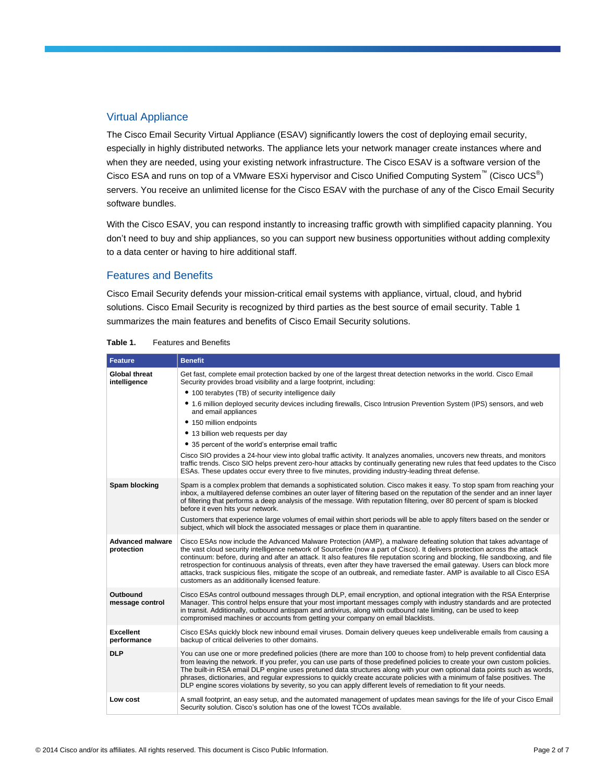## Virtual Appliance

The Cisco Email Security Virtual Appliance (ESAV) significantly lowers the cost of deploying email security, especially in highly distributed networks. The appliance lets your network manager create instances where and when they are needed, using your existing network infrastructure. The Cisco ESAV is a software version of the Cisco ESA and runs on top of a VMware ESXi hypervisor and Cisco Unified Computing System<sup>™</sup> (Cisco UCS<sup>®</sup>) servers. You receive an unlimited license for the Cisco ESAV with the purchase of any of the Cisco Email Security software bundles.

With the Cisco ESAV, you can respond instantly to increasing traffic growth with simplified capacity planning. You don't need to buy and ship appliances, so you can support new business opportunities without adding complexity to a data center or having to hire additional staff.

#### Features and Benefits

Cisco Email Security defends your mission-critical email systems with appliance, virtual, cloud, and hybrid solutions. Cisco Email Security is recognized by third parties as the best source of email security. Table 1 summarizes the main features and benefits of Cisco Email Security solutions.

| <b>Feature</b>                        | <b>Benefit</b>                                                                                                                                                                                                                                                                                                                                                                                                                                                                                                                                                                                                                                                                                   |
|---------------------------------------|--------------------------------------------------------------------------------------------------------------------------------------------------------------------------------------------------------------------------------------------------------------------------------------------------------------------------------------------------------------------------------------------------------------------------------------------------------------------------------------------------------------------------------------------------------------------------------------------------------------------------------------------------------------------------------------------------|
| Global threat<br>intelligence         | Get fast, complete email protection backed by one of the largest threat detection networks in the world. Cisco Email<br>Security provides broad visibility and a large footprint, including:                                                                                                                                                                                                                                                                                                                                                                                                                                                                                                     |
|                                       | • 100 terabytes (TB) of security intelligence daily                                                                                                                                                                                                                                                                                                                                                                                                                                                                                                                                                                                                                                              |
|                                       | • 1.6 million deployed security devices including firewalls, Cisco Intrusion Prevention System (IPS) sensors, and web<br>and email appliances                                                                                                                                                                                                                                                                                                                                                                                                                                                                                                                                                    |
|                                       | • 150 million endpoints                                                                                                                                                                                                                                                                                                                                                                                                                                                                                                                                                                                                                                                                          |
|                                       | • 13 billion web requests per day                                                                                                                                                                                                                                                                                                                                                                                                                                                                                                                                                                                                                                                                |
|                                       | • 35 percent of the world's enterprise email traffic                                                                                                                                                                                                                                                                                                                                                                                                                                                                                                                                                                                                                                             |
|                                       | Cisco SIO provides a 24-hour view into global traffic activity. It analyzes anomalies, uncovers new threats, and monitors<br>traffic trends. Cisco SIO helps prevent zero-hour attacks by continually generating new rules that feed updates to the Cisco<br>ESAs. These updates occur every three to five minutes, providing industry-leading threat defense.                                                                                                                                                                                                                                                                                                                                   |
| Spam blocking                         | Spam is a complex problem that demands a sophisticated solution. Cisco makes it easy. To stop spam from reaching your<br>inbox, a multilayered defense combines an outer layer of filtering based on the reputation of the sender and an inner layer<br>of filtering that performs a deep analysis of the message. With reputation filtering, over 80 percent of spam is blocked<br>before it even hits your network.                                                                                                                                                                                                                                                                            |
|                                       | Customers that experience large volumes of email within short periods will be able to apply filters based on the sender or<br>subject, which will block the associated messages or place them in quarantine.                                                                                                                                                                                                                                                                                                                                                                                                                                                                                     |
| <b>Advanced malware</b><br>protection | Cisco ESAs now include the Advanced Malware Protection (AMP), a malware defeating solution that takes advantage of<br>the vast cloud security intelligence network of Sourcefire (now a part of Cisco). It delivers protection across the attack<br>continuum: before, during and after an attack. It also features file reputation scoring and blocking, file sandboxing, and file<br>retrospection for continuous analysis of threats, even after they have traversed the email gateway. Users can block more<br>attacks, track suspicious files, mitigate the scope of an outbreak, and remediate faster. AMP is available to all Cisco ESA<br>customers as an additionally licensed feature. |
| Outbound<br>message control           | Cisco ESAs control outbound messages through DLP, email encryption, and optional integration with the RSA Enterprise<br>Manager. This control helps ensure that your most important messages comply with industry standards and are protected<br>in transit. Additionally, outbound antispam and antivirus, along with outbound rate limiting, can be used to keep<br>compromised machines or accounts from getting your company on email blacklists.                                                                                                                                                                                                                                            |
| <b>Excellent</b><br>performance       | Cisco ESAs quickly block new inbound email viruses. Domain delivery queues keep undeliverable emails from causing a<br>backup of critical deliveries to other domains.                                                                                                                                                                                                                                                                                                                                                                                                                                                                                                                           |
| <b>DLP</b>                            | You can use one or more predefined policies (there are more than 100 to choose from) to help prevent confidential data<br>from leaving the network. If you prefer, you can use parts of those predefined policies to create your own custom policies.<br>The built-in RSA email DLP engine uses pretuned data structures along with your own optional data points such as words,<br>phrases, dictionaries, and regular expressions to quickly create accurate policies with a minimum of false positives. The<br>DLP engine scores violations by severity, so you can apply different levels of remediation to fit your needs.                                                                   |
| Low cost                              | A small footprint, an easy setup, and the automated management of updates mean savings for the life of your Cisco Email<br>Security solution. Cisco's solution has one of the lowest TCOs available.                                                                                                                                                                                                                                                                                                                                                                                                                                                                                             |

#### **Table 1.** Features and Benefits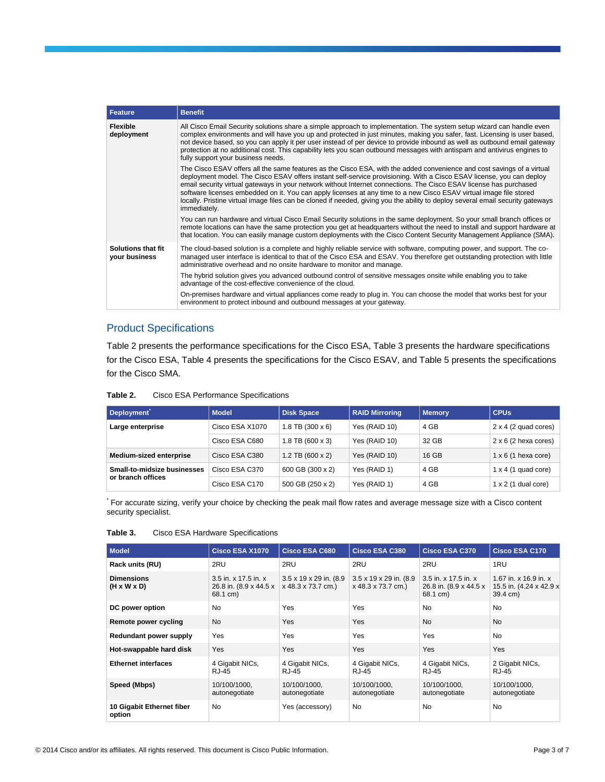| <b>Feature</b>                             | <b>Benefit</b>                                                                                                                                                                                                                                                                                                                                                                                                                                                                                                                                                                                                                                |
|--------------------------------------------|-----------------------------------------------------------------------------------------------------------------------------------------------------------------------------------------------------------------------------------------------------------------------------------------------------------------------------------------------------------------------------------------------------------------------------------------------------------------------------------------------------------------------------------------------------------------------------------------------------------------------------------------------|
| <b>Flexible</b><br>deployment              | All Cisco Email Security solutions share a simple approach to implementation. The system setup wizard can handle even<br>complex environments and will have you up and protected in just minutes, making you safer, fast. Licensing is user based,<br>not device based, so you can apply it per user instead of per device to provide inbound as well as outbound email gateway<br>protection at no additional cost. This capability lets you scan outbound messages with antispam and antivirus engines to<br>fully support your business needs.                                                                                             |
|                                            | The Cisco ESAV offers all the same features as the Cisco ESA, with the added convenience and cost savings of a virtual<br>deployment model. The Cisco ESAV offers instant self-service provisioning. With a Cisco ESAV license, you can deploy<br>email security virtual gateways in your network without Internet connections. The Cisco ESAV license has purchased<br>software licenses embedded on it. You can apply licenses at any time to a new Cisco ESAV virtual image file stored<br>locally. Pristine virtual image files can be cloned if needed, giving you the ability to deploy several email security gateways<br>immediately. |
|                                            | You can run hardware and virtual Cisco Email Security solutions in the same deployment. So your small branch offices or<br>remote locations can have the same protection you get at headquarters without the need to install and support hardware at<br>that location. You can easily manage custom deployments with the Cisco Content Security Management Appliance (SMA).                                                                                                                                                                                                                                                                   |
| <b>Solutions that fit</b><br>your business | The cloud-based solution is a complete and highly reliable service with software, computing power, and support. The co-<br>managed user interface is identical to that of the Cisco ESA and ESAV. You therefore get outstanding protection with little<br>administrative overhead and no onsite hardware to monitor and manage.                                                                                                                                                                                                                                                                                                               |
|                                            | The hybrid solution gives you advanced outbound control of sensitive messages onsite while enabling you to take<br>advantage of the cost-effective convenience of the cloud.                                                                                                                                                                                                                                                                                                                                                                                                                                                                  |
|                                            | On-premises hardware and virtual appliances come ready to plug in. You can choose the model that works best for your<br>environment to protect inbound and outbound messages at your gateway.                                                                                                                                                                                                                                                                                                                                                                                                                                                 |

# Product Specifications

Table 2 presents the performance specifications for the Cisco ESA, Table 3 presents the hardware specifications for the Cisco ESA, Table 4 presents the specifications for the Cisco ESAV, and Table 5 presents the specifications for the Cisco SMA.

| Table 2. | Cisco ESA Performance Specifications |  |
|----------|--------------------------------------|--|
|----------|--------------------------------------|--|

| Deployment                  | <b>Model</b>    | <b>Disk Space</b>  | <b>RAID Mirroring</b> | <b>Memory</b> | <b>CPUs</b>                 |
|-----------------------------|-----------------|--------------------|-----------------------|---------------|-----------------------------|
| Large enterprise            | Cisco ESA X1070 | $1.8$ TB (300 x 6) | Yes (RAID 10)         | 4 GB          | $2 \times 4$ (2 quad cores) |
|                             | Cisco ESA C680  | $1.8$ TB (600 x 3) | Yes (RAID 10)         | 32 GB         | $2 \times 6$ (2 hexa cores) |
| Medium-sized enterprise     | Cisco ESA C380  | $1.2$ TB (600 x 2) | Yes (RAID 10)         | 16 GB         | $1 \times 6$ (1 hexa core)  |
| Small-to-midsize businesses | Cisco ESA C370  | 600 GB (300 x 2)   | Yes (RAID 1)          | 4 GB          | $1 \times 4$ (1 quad core)  |
| or branch offices           | Cisco ESA C170  | 500 GB (250 x 2)   | Yes (RAID 1)          | 4 GB          | $1 \times 2$ (1 dual core)  |

\* For accurate sizing, verify your choice by checking the peak mail flow rates and average message size with a Cisco content security specialist.

| <b>Model</b>                        | Cisco ESA X1070                                            | <b>Cisco ESA C680</b>                                     | <b>Cisco ESA C380</b>                                       | <b>Cisco ESA C370</b>                                      | <b>Cisco ESA C170</b>                                        |
|-------------------------------------|------------------------------------------------------------|-----------------------------------------------------------|-------------------------------------------------------------|------------------------------------------------------------|--------------------------------------------------------------|
| Rack units (RU)                     | 2RU                                                        | 2RU                                                       | 2RU                                                         | 2RU                                                        | 1RU                                                          |
| <b>Dimensions</b><br>(H x W x D)    | 3.5 in. x 17.5 in. x<br>26.8 in. (8.9 x 44.5 x<br>68.1 cm) | $3.5 \times 19 \times 29$ in. (8.9)<br>x 48.3 x 73.7 cm.) | $3.5 \times 19 \times 29$ in. (8.9)<br>$x$ 48.3 x 73.7 cm.) | 3.5 in. x 17.5 in. x<br>26.8 in. (8.9 x 44.5 x<br>68.1 cm) | 1.67 in. x 16.9 in. x<br>15.5 in. (4.24 x 42.9 x<br>39.4 cm) |
| DC power option                     | No.                                                        | Yes                                                       | Yes                                                         | <b>No</b>                                                  | No                                                           |
| Remote power cycling                | <b>No</b>                                                  | <b>Yes</b>                                                | <b>Yes</b>                                                  | <b>No</b>                                                  | <b>No</b>                                                    |
| Redundant power supply              | Yes                                                        | Yes                                                       | Yes                                                         | Yes                                                        | <b>No</b>                                                    |
| Hot-swappable hard disk             | Yes                                                        | Yes                                                       | Yes                                                         | <b>Yes</b>                                                 | Yes                                                          |
| <b>Ethernet interfaces</b>          | 4 Gigabit NICs,<br><b>RJ-45</b>                            | 4 Gigabit NICs,<br><b>RJ-45</b>                           | 4 Gigabit NICs,<br>RJ-45                                    | 4 Gigabit NICs,<br><b>RJ-45</b>                            | 2 Gigabit NICs,<br><b>RJ-45</b>                              |
| Speed (Mbps)                        | 10/100/1000,<br>autonegotiate                              | 10/100/1000,<br>autonegotiate                             | 10/100/1000,<br>autonegotiate                               | 10/100/1000,<br>autonegotiate                              | 10/100/1000,<br>autonegotiate                                |
| 10 Gigabit Ethernet fiber<br>option | <b>No</b>                                                  | Yes (accessory)                                           | <b>No</b>                                                   | No                                                         | No.                                                          |

| Table 3. |  |  | Cisco ESA Hardware Specifications |
|----------|--|--|-----------------------------------|
|----------|--|--|-----------------------------------|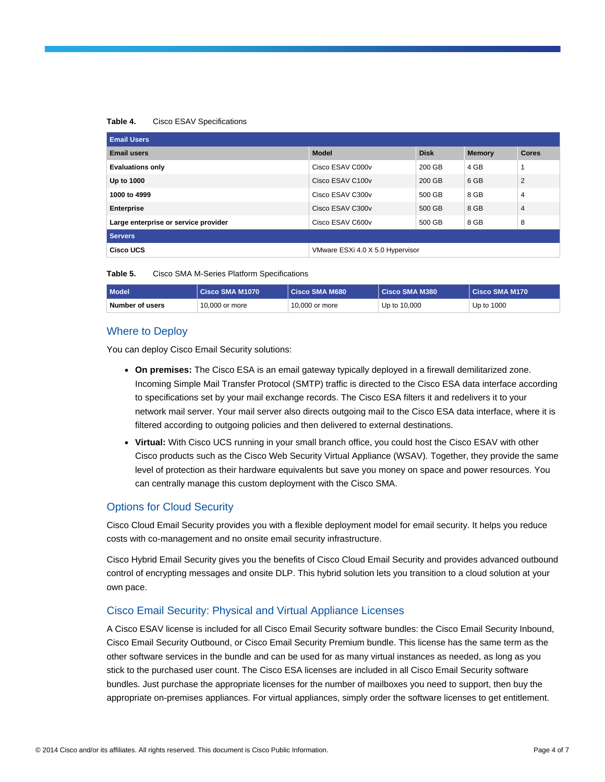#### **Table 4.** Cisco ESAV Specifications

| <b>Email Users</b>                   |                                  |             |               |                |
|--------------------------------------|----------------------------------|-------------|---------------|----------------|
| <b>Email users</b>                   | <b>Model</b>                     | <b>Disk</b> | <b>Memory</b> | <b>Cores</b>   |
| <b>Evaluations only</b>              | Cisco ESAV C000v                 | 200 GB      | 4 GB          |                |
| Up to 1000                           | Cisco ESAV C100v                 | 200 GB      | 6 GB          | 2              |
| 1000 to 4999                         | Cisco ESAV C300v                 | 500 GB      | 8 GB          | $\overline{4}$ |
| <b>Enterprise</b>                    | Cisco ESAV C300v                 | 500 GB      | 8 GB          | $\overline{4}$ |
| Large enterprise or service provider | Cisco ESAV C600v                 | 500 GB      | 8 GB          | 8              |
| <b>Servers</b>                       |                                  |             |               |                |
| Cisco UCS                            | VMware ESXi 4.0 X 5.0 Hypervisor |             |               |                |

| Table 5. |  |  |  | Cisco SMA M-Series Platform Specifications |
|----------|--|--|--|--------------------------------------------|
|----------|--|--|--|--------------------------------------------|

| Model           | Cisco SMA M1070 | Cisco SMA M680 | Cisco SMA M380 | Cisco SMA M170 |
|-----------------|-----------------|----------------|----------------|----------------|
| Number of users | 10,000 or more  | 10,000 or more | Up to 10,000   | Up to 1000     |

# Where to Deploy

You can deploy Cisco Email Security solutions:

- **On premises:** The Cisco ESA is an email gateway typically deployed in a firewall demilitarized zone. Incoming Simple Mail Transfer Protocol (SMTP) traffic is directed to the Cisco ESA data interface according to specifications set by your mail exchange records. The Cisco ESA filters it and redelivers it to your network mail server. Your mail server also directs outgoing mail to the Cisco ESA data interface, where it is filtered according to outgoing policies and then delivered to external destinations.
- **Virtual:** With Cisco UCS running in your small branch office, you could host the Cisco ESAV with other Cisco products such as the Cisco Web Security Virtual Appliance (WSAV). Together, they provide the same level of protection as their hardware equivalents but save you money on space and power resources. You can centrally manage this custom deployment with the Cisco SMA.

#### Options for Cloud Security

Cisco Cloud Email Security provides you with a flexible deployment model for email security. It helps you reduce costs with co-management and no onsite email security infrastructure.

Cisco Hybrid Email Security gives you the benefits of Cisco Cloud Email Security and provides advanced outbound control of encrypting messages and onsite DLP. This hybrid solution lets you transition to a cloud solution at your own pace.

#### Cisco Email Security: Physical and Virtual Appliance Licenses

A Cisco ESAV license is included for all Cisco Email Security software bundles: the Cisco Email Security Inbound, Cisco Email Security Outbound, or Cisco Email Security Premium bundle. This license has the same term as the other software services in the bundle and can be used for as many virtual instances as needed, as long as you stick to the purchased user count. The Cisco ESA licenses are included in all Cisco Email Security software bundles. Just purchase the appropriate licenses for the number of mailboxes you need to support, then buy the appropriate on-premises appliances. For virtual appliances, simply order the software licenses to get entitlement.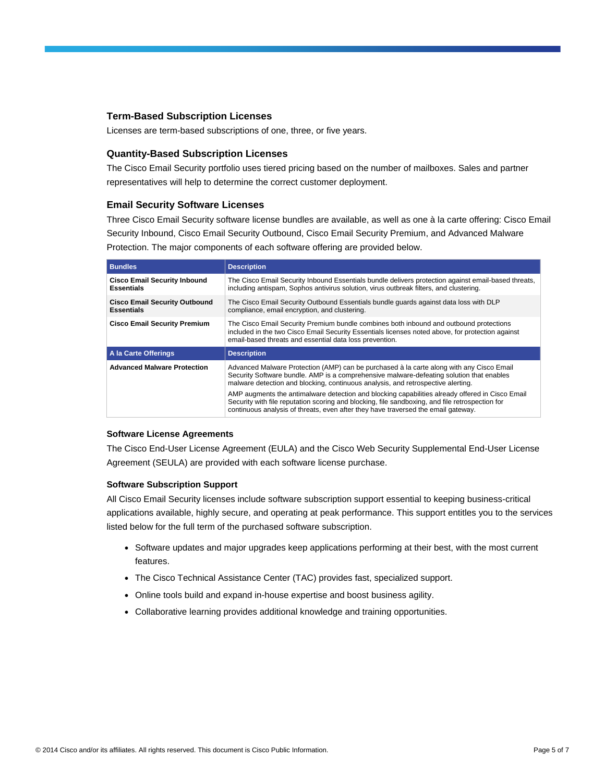#### **Term-Based Subscription Licenses**

Licenses are term-based subscriptions of one, three, or five years.

#### **Quantity-Based Subscription Licenses**

The Cisco Email Security portfolio uses tiered pricing based on the number of mailboxes. Sales and partner representatives will help to determine the correct customer deployment.

#### **Email Security Software Licenses**

Three Cisco Email Security software license bundles are available, as well as one à la carte offering: Cisco Email Security Inbound, Cisco Email Security Outbound, Cisco Email Security Premium, and Advanced Malware Protection. The major components of each software offering are provided below.

| <b>Bundles</b>                                            | <b>Description</b>                                                                                                                                                                                                                                                                      |  |
|-----------------------------------------------------------|-----------------------------------------------------------------------------------------------------------------------------------------------------------------------------------------------------------------------------------------------------------------------------------------|--|
| <b>Cisco Email Security Inbound</b><br><b>Essentials</b>  | The Cisco Email Security Inbound Essentials bundle delivers protection against email-based threats,<br>including antispam, Sophos antivirus solution, virus outbreak filters, and clustering.                                                                                           |  |
| <b>Cisco Email Security Outbound</b><br><b>Essentials</b> | The Cisco Email Security Outbound Essentials bundle quards against data loss with DLP<br>compliance, email encryption, and clustering.                                                                                                                                                  |  |
| <b>Cisco Email Security Premium</b>                       | The Cisco Email Security Premium bundle combines both inbound and outbound protections<br>included in the two Cisco Email Security Essentials licenses noted above, for protection against<br>email-based threats and essential data loss prevention.                                   |  |
| A la Carte Offerings                                      | <b>Description</b>                                                                                                                                                                                                                                                                      |  |
| <b>Advanced Malware Protection</b>                        | Advanced Malware Protection (AMP) can be purchased à la carte along with any Cisco Email<br>Security Software bundle. AMP is a comprehensive malware-defeating solution that enables<br>malware detection and blocking, continuous analysis, and retrospective alerting.                |  |
|                                                           | AMP augments the antimalware detection and blocking capabilities already offered in Cisco Email<br>Security with file reputation scoring and blocking, file sandboxing, and file retrospection for<br>continuous analysis of threats, even after they have traversed the email gateway. |  |

#### **Software License Agreements**

The Cisco End-User License Agreement (EULA) and the Cisco Web Security Supplemental End-User License Agreement (SEULA) are provided with each software license purchase.

#### **Software Subscription Support**

All Cisco Email Security licenses include software subscription support essential to keeping business-critical applications available, highly secure, and operating at peak performance. This support entitles you to the services listed below for the full term of the purchased software subscription.

- Software updates and major upgrades keep applications performing at their best, with the most current features.
- The Cisco Technical Assistance Center (TAC) provides fast, specialized support.
- Online tools build and expand in-house expertise and boost business agility.
- Collaborative learning provides additional knowledge and training opportunities.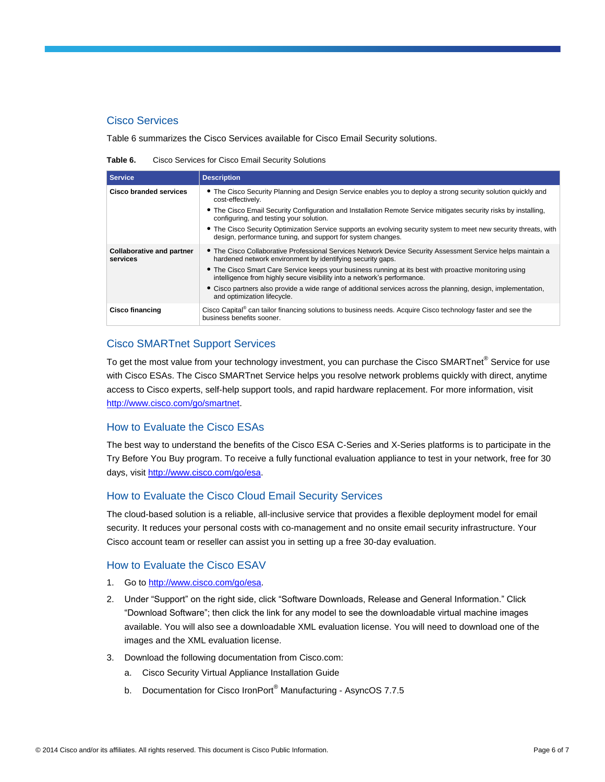# Cisco Services

Table 6 summarizes the Cisco Services available for Cisco Email Security solutions.

**Table 6.** Cisco Services for Cisco Email Security Solutions

| <b>Service</b>                               | <b>Description</b>                                                                                                                                                                                                                                                                                                                                                                                                     |
|----------------------------------------------|------------------------------------------------------------------------------------------------------------------------------------------------------------------------------------------------------------------------------------------------------------------------------------------------------------------------------------------------------------------------------------------------------------------------|
| Cisco branded services                       | • The Cisco Security Planning and Design Service enables you to deploy a strong security solution quickly and<br>cost-effectively.<br>• The Cisco Email Security Configuration and Installation Remote Service mitigates security risks by installing,<br>configuring, and testing your solution.<br>• The Cisco Security Optimization Service supports an evolving security system to meet new security threats, with |
|                                              | design, performance tuning, and support for system changes.                                                                                                                                                                                                                                                                                                                                                            |
| <b>Collaborative and partner</b><br>services | • The Cisco Collaborative Professional Services Network Device Security Assessment Service helps maintain a<br>hardened network environment by identifying security gaps.                                                                                                                                                                                                                                              |
|                                              | • The Cisco Smart Care Service keeps your business running at its best with proactive monitoring using<br>intelligence from highly secure visibility into a network's performance.                                                                                                                                                                                                                                     |
|                                              | • Cisco partners also provide a wide range of additional services across the planning, design, implementation,<br>and optimization lifecycle.                                                                                                                                                                                                                                                                          |
| <b>Cisco financing</b>                       | Cisco Capital® can tailor financing solutions to business needs. Acquire Cisco technology faster and see the<br>business benefits sooner.                                                                                                                                                                                                                                                                              |

# Cisco SMARTnet Support Services

To get the most value from your technology investment, you can purchase the Cisco SMARTnet® Service for use with Cisco ESAs. The Cisco SMARTnet Service helps you resolve network problems quickly with direct, anytime access to Cisco experts, self-help support tools, and rapid hardware replacement. For more information, visit [http://www.cisco.com/go/smartnet.](http://www.cisco.com/go/smartnet)

## How to Evaluate the Cisco ESAs

The best way to understand the benefits of the Cisco ESA C-Series and X-Series platforms is to participate in the Try Before You Buy program. To receive a fully functional evaluation appliance to test in your network, free for 30 days, visit [http://www.cisco.com/go/esa.](http://www.cisco.com/go/esa)

# How to Evaluate the Cisco Cloud Email Security Services

The cloud-based solution is a reliable, all-inclusive service that provides a flexible deployment model for email security. It reduces your personal costs with co-management and no onsite email security infrastructure. Your Cisco account team or reseller can assist you in setting up a free 30-day evaluation.

# How to Evaluate the Cisco ESAV

- 1. Go t[o http://www.cisco.com/go/esa.](http://www.cisco.com/go/esa)
- 2. Under "Support" on the right side, click "Software Downloads, Release and General Information." Click "Download Software"; then click the link for any model to see the downloadable virtual machine images available. You will also see a downloadable XML evaluation license. You will need to download one of the images and the XML evaluation license.
- 3. Download the following documentation from Cisco.com:
	- a. Cisco Security Virtual Appliance Installation Guide
	- b. Documentation for Cisco IronPort<sup>®</sup> Manufacturing AsyncOS 7.7.5